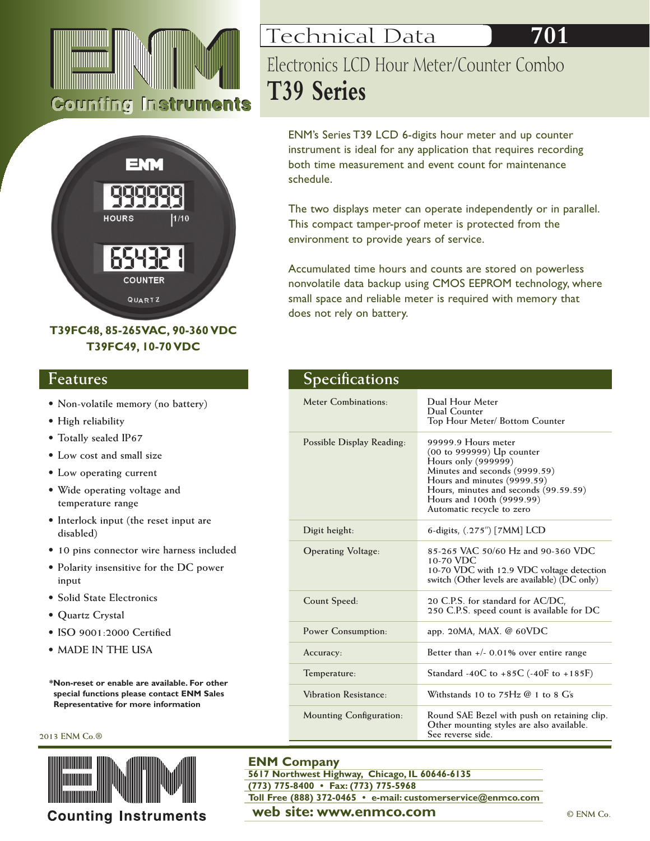



# **T39FC48, 85-265VAC, 90-360 VDC T39FC49, 10-70 VDC**

# **Features**

- **• Non-volatile memory (no battery)**
- **• High reliability**
- **• Totally sealed IP67**
- **• Low cost and small size**
- **• Low operating current**
- **• Wide operating voltage and temperature range**
- **• Interlock input (the reset input are disabled)**
- **• 10 pins connector wire harness included**
- **• Polarity insensitive for the DC power input**
- **• Solid State Electronics**
- **• Quartz Crystal**
- **• ISO 9001:2000 Certified**
- **• Made in the USA**

**\*Non-reset or enable are available. For other special functions please contact ENM Sales Representative for more information**

### **2013 ENM Co.®**



**Counting Instruments** 

# Technical Data Electronics LCD Hour Meter/Counter Combo **T39 Series**

ENM's Series T39 LCD 6-digits hour meter and up counter instrument is ideal for any application that requires recording both time measurement and event count for maintenance schedule.

The two displays meter can operate independently or in parallel. This compact tamper-proof meter is protected from the environment to provide years of service.

Accumulated time hours and counts are stored on powerless nonvolatile data backup using CMOS EEPROM technology, where small space and reliable meter is required with memory that does not rely on battery.

| <b>Specifications</b>          |                                                                                                                                                                                                                                            |
|--------------------------------|--------------------------------------------------------------------------------------------------------------------------------------------------------------------------------------------------------------------------------------------|
| Meter Combinations:            | Dual Hour Meter<br>Dual Counter<br>Top Hour Meter/ Bottom Counter                                                                                                                                                                          |
| Possible Display Reading:      | 99999.9 Hours meter<br>(00 to 999999) Up counter<br>Hours only (999999)<br>Minutes and seconds (9999.59)<br>Hours and minutes (9999.59)<br>Hours, minutes and seconds (99.59.59)<br>Hours and 100th (9999.99)<br>Automatic recycle to zero |
| Digit height:                  | 6-digits, (.275") [7MM] LCD                                                                                                                                                                                                                |
| <b>Operating Voltage:</b>      | 85-265 VAC 50/60 Hz and 90-360 VDC<br>10-70 VDC<br>10-70 VDC with 12.9 VDC voltage detection<br>switch (Other levels are available) (DC only)                                                                                              |
| Count Speed:                   | 20 C.P.S. for standard for AC/DC,<br>250 C.P.S. speed count is available for DC                                                                                                                                                            |
| <b>Power Consumption:</b>      | app. 20MA, MAX. @ 60VDC                                                                                                                                                                                                                    |
| Accuracy:                      | Better than $+/-$ 0.01% over entire range                                                                                                                                                                                                  |
| Temperature:                   | Standard -40C to +85C (-40F to +185F)                                                                                                                                                                                                      |
| <b>Vibration Resistance:</b>   | Withstands 10 to $75Hz$ @ 1 to 8 $G_s$                                                                                                                                                                                                     |
| <b>Mounting Configuration:</b> | Round SAE Bezel with push on retaining clip.<br>Other mounting styles are also available.<br>See reverse side.                                                                                                                             |

## **ENM Company**

**web site: www.enmco.com**  $\bullet$  **CENM Co. 5617 Northwest Highway, Chicago, IL 60646-6135 (773) 775-8400 • Fax: (773) 775-5968 Toll Free (888) 372-0465 • e-mail: customerservice@enmco.com**

**701**